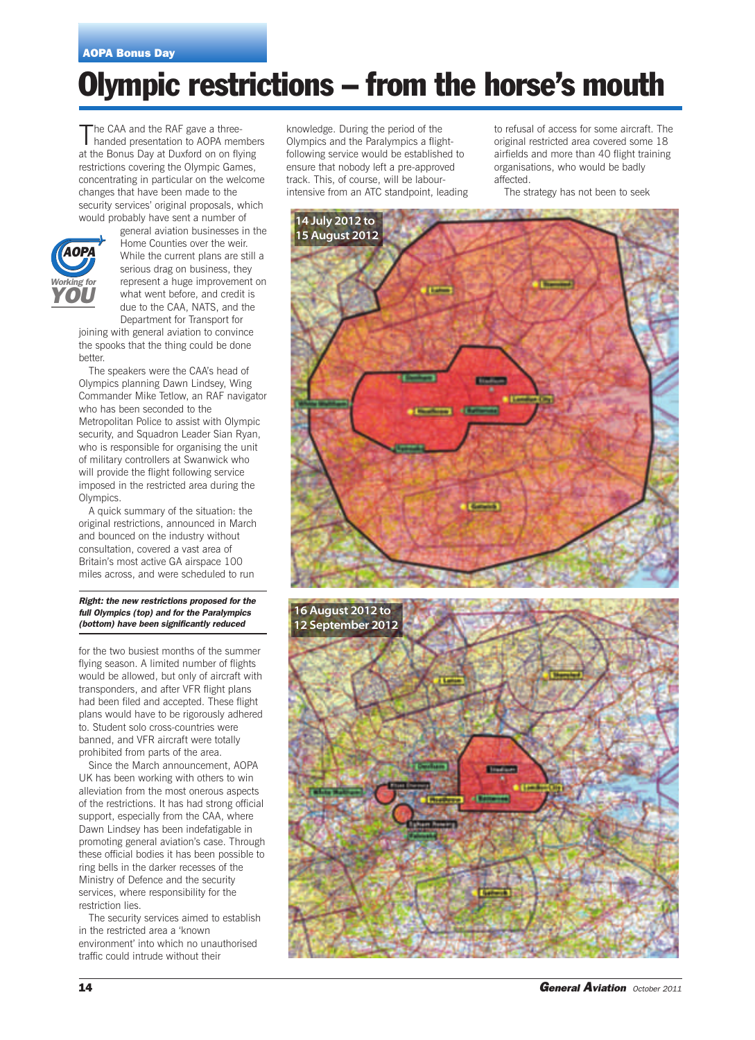# **Olympic restrictions – from the horse's mouth**

The CAA and the RAF gave a three-<br>handed presentation to AOPA members at the Bonus Day at Duxford on on flying restrictions covering the Olympic Games, concentrating in particular on the welcome changes that have been made to the security services' original proposals, which would probably have sent a number of



general aviation businesses in the Home Counties over the weir. While the current plans are still a serious drag on business, they represent a huge improvement on what went before, and credit is due to the CAA, NATS, and the Department for Transport for

joining with general aviation to convince the spooks that the thing could be done better.

The speakers were the CAA's head of Olympics planning Dawn Lindsey, Wing Commander Mike Tetlow, an RAF navigator who has been seconded to the Metropolitan Police to assist with Olympic security, and Squadron Leader Sian Ryan, who is responsible for organising the unit of military controllers at Swanwick who will provide the flight following service imposed in the restricted area during the Olympics.

A quick summary of the situation: the original restrictions, announced in March and bounced on the industry without consultation, covered a vast area of Britain's most active GA airspace 100 miles across, and were scheduled to run

*Right: the new restrictions proposed for the full Olympics (top) and for the Paralympics (bottom) have been significantly reduced*

for the two busiest months of the summer flying season. A limited number of flights would be allowed, but only of aircraft with transponders, and after VFR flight plans had been filed and accepted. These flight plans would have to be rigorously adhered to. Student solo cross-countries were banned, and VFR aircraft were totally prohibited from parts of the area.

Since the March announcement, AOPA UK has been working with others to win alleviation from the most onerous aspects of the restrictions. It has had strong official support, especially from the CAA, where Dawn Lindsey has been indefatigable in promoting general aviation's case. Through these official bodies it has been possible to ring bells in the darker recesses of the Ministry of Defence and the security services, where responsibility for the restriction lies.

The security services aimed to establish in the restricted area a 'known environment' into which no unauthorised traffic could intrude without their

knowledge. During the period of the Olympics and the Paralympics a flightfollowing service would be established to ensure that nobody left a pre-approved track. This, of course, will be labourintensive from an ATC standpoint, leading

to refusal of access for some aircraft. The original restricted area covered some 18 airfields and more than 40 flight training organisations, who would be badly affected.

The strategy has not been to seek

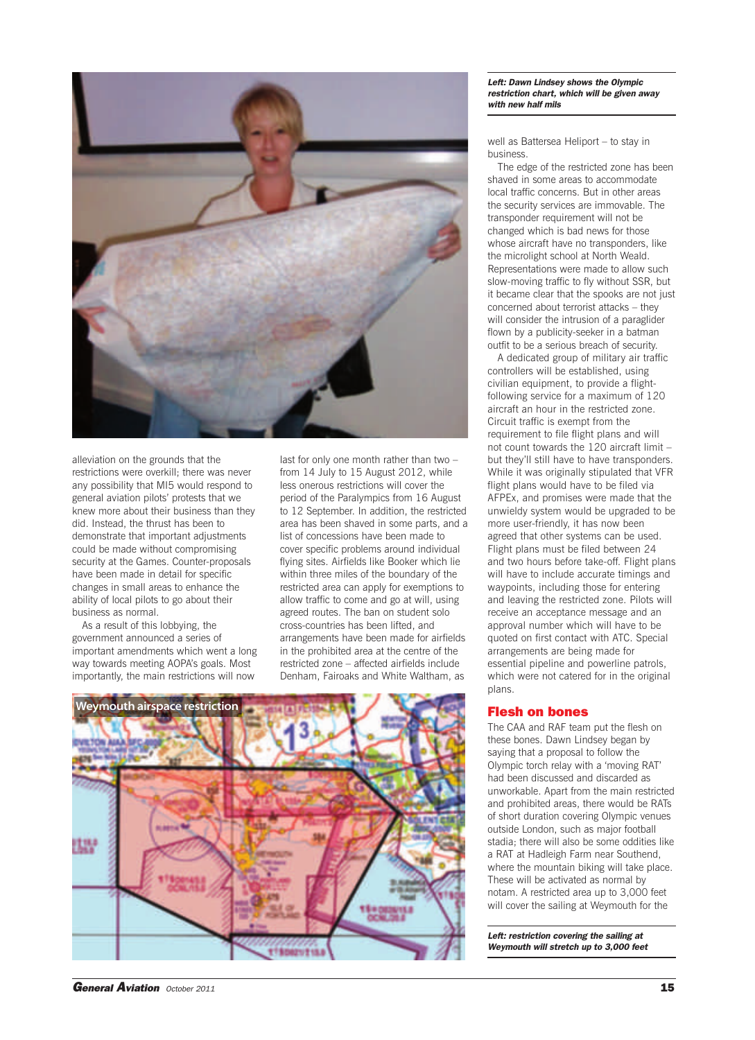

alleviation on the grounds that the restrictions were overkill; there was never any possibility that MI5 would respond to general aviation pilots' protests that we knew more about their business than they did. Instead, the thrust has been to demonstrate that important adjustments could be made without compromising security at the Games. Counter-proposals have been made in detail for specific changes in small areas to enhance the ability of local pilots to go about their business as normal.

As a result of this lobbying, the government announced a series of important amendments which went a long way towards meeting AOPA's goals. Most importantly, the main restrictions will now

last for only one month rather than two – from 14 July to 15 August 2012, while less onerous restrictions will cover the period of the Paralympics from 16 August to 12 September. In addition, the restricted area has been shaved in some parts, and a list of concessions have been made to cover specific problems around individual flying sites. Airfields like Booker which lie within three miles of the boundary of the restricted area can apply for exemptions to allow traffic to come and go at will, using agreed routes. The ban on student solo cross-countries has been lifted, and arrangements have been made for airfields in the prohibited area at the centre of the restricted zone – affected airfields include Denham, Fairoaks and White Waltham, as



#### *Left: Dawn Lindsey shows the Olympic restriction chart, which will be given away with new half mils*

well as Battersea Heliport – to stay in business.

The edge of the restricted zone has been shaved in some areas to accommodate local traffic concerns. But in other areas the security services are immovable. The transponder requirement will not be changed which is bad news for those whose aircraft have no transponders, like the microlight school at North Weald. Representations were made to allow such slow-moving traffic to fly without SSR, but it became clear that the spooks are not just concerned about terrorist attacks – they will consider the intrusion of a paraglider flown by a publicity-seeker in a batman outfit to be a serious breach of security.

A dedicated group of military air traffic controllers will be established, using civilian equipment, to provide a flightfollowing service for a maximum of 120 aircraft an hour in the restricted zone. Circuit traffic is exempt from the requirement to file flight plans and will not count towards the 120 aircraft limit – but they'll still have to have transponders. While it was originally stipulated that VFR flight plans would have to be filed via AFPEx, and promises were made that the unwieldy system would be upgraded to be more user-friendly, it has now been agreed that other systems can be used. Flight plans must be filed between 24 and two hours before take-off. Flight plans will have to include accurate timings and waypoints, including those for entering and leaving the restricted zone. Pilots will receive an acceptance message and an approval number which will have to be quoted on first contact with ATC. Special arrangements are being made for essential pipeline and powerline patrols, which were not catered for in the original plans.

## **Flesh on bones**

The CAA and RAF team put the flesh on these bones. Dawn Lindsey began by saying that a proposal to follow the Olympic torch relay with a 'moving RAT' had been discussed and discarded as unworkable. Apart from the main restricted and prohibited areas, there would be RATs of short duration covering Olympic venues outside London, such as major football stadia; there will also be some oddities like a RAT at Hadleigh Farm near Southend, where the mountain biking will take place. These will be activated as normal by notam. A restricted area up to 3,000 feet will cover the sailing at Weymouth for the

*Left: restriction covering the sailing at Weymouth will stretch up to 3,000 feet*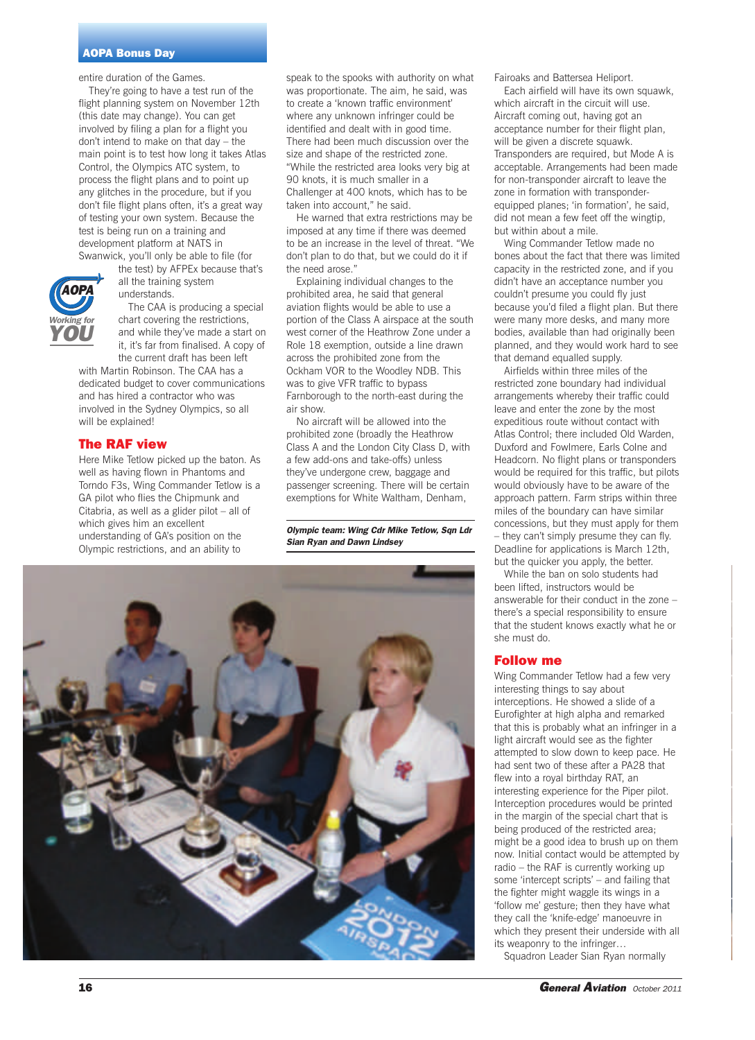#### **AOPA Bonus Day**

entire duration of the Games.

They're going to have a test run of the flight planning system on November 12th (this date may change). You can get involved by filing a plan for a flight you don't intend to make on that day – the main point is to test how long it takes Atlas Control, the Olympics ATC system, to process the flight plans and to point up any glitches in the procedure, but if you don't file flight plans often, it's a great way of testing your own system. Because the test is being run on a training and development platform at NATS in Swanwick, you'll only be able to file (for



understands.

The CAA is producing a special chart covering the restrictions, and while they've made a start on it, it's far from finalised. A copy of the current draft has been left

with Martin Robinson. The CAA has a dedicated budget to cover communications and has hired a contractor who was involved in the Sydney Olympics, so all will be explained!

### **The RAF view**

*Working for YOU*

> Here Mike Tetlow picked up the baton. As well as having flown in Phantoms and Torndo F3s, Wing Commander Tetlow is a GA pilot who flies the Chipmunk and Citabria, as well as a glider pilot – all of which gives him an excellent understanding of GA's position on the Olympic restrictions, and an ability to

speak to the spooks with authority on what was proportionate. The aim, he said, was to create a 'known traffic environment' where any unknown infringer could be identified and dealt with in good time. There had been much discussion over the size and shape of the restricted zone. "While the restricted area looks very big at 90 knots, it is much smaller in a Challenger at 400 knots, which has to be taken into account," he said.

He warned that extra restrictions may be imposed at any time if there was deemed to be an increase in the level of threat. "We don't plan to do that, but we could do it if the need arose."

Explaining individual changes to the prohibited area, he said that general aviation flights would be able to use a portion of the Class A airspace at the south west corner of the Heathrow Zone under a Role 18 exemption, outside a line drawn across the prohibited zone from the Ockham VOR to the Woodley NDB. This was to give VFR traffic to bypass Farnborough to the north-east during the air show.

No aircraft will be allowed into the prohibited zone (broadly the Heathrow Class A and the London City Class D, with a few add-ons and take-offs) unless they've undergone crew, baggage and passenger screening. There will be certain exemptions for White Waltham, Denham,

*Olympic team: Wing Cdr Mike Tetlow, Sqn Ldr Sian Ryan and Dawn Lindsey*



Fairoaks and Battersea Heliport.

Each airfield will have its own squawk, which aircraft in the circuit will use. Aircraft coming out, having got an acceptance number for their flight plan, will be given a discrete squawk. Transponders are required, but Mode A is acceptable. Arrangements had been made for non-transponder aircraft to leave the zone in formation with transponderequipped planes; 'in formation', he said, did not mean a few feet off the wingtip, but within about a mile.

Wing Commander Tetlow made no bones about the fact that there was limited capacity in the restricted zone, and if you didn't have an acceptance number you couldn't presume you could fly just because you'd filed a flight plan. But there were many more desks, and many more bodies, available than had originally been planned, and they would work hard to see that demand equalled supply.

Airfields within three miles of the restricted zone boundary had individual arrangements whereby their traffic could leave and enter the zone by the most expeditious route without contact with Atlas Control; there included Old Warden, Duxford and Fowlmere, Earls Colne and Headcorn. No flight plans or transponders would be required for this traffic, but pilots would obviously have to be aware of the approach pattern. Farm strips within three miles of the boundary can have similar concessions, but they must apply for them – they can't simply presume they can fly. Deadline for applications is March 12th, but the quicker you apply, the better.

While the ban on solo students had been lifted, instructors would be answerable for their conduct in the zone – there's a special responsibility to ensure that the student knows exactly what he or she must do.

### **Follow me**

Wing Commander Tetlow had a few very interesting things to say about interceptions. He showed a slide of a Eurofighter at high alpha and remarked that this is probably what an infringer in a light aircraft would see as the fighter attempted to slow down to keep pace. He had sent two of these after a PA28 that flew into a royal birthday RAT, an interesting experience for the Piper pilot. Interception procedures would be printed in the margin of the special chart that is being produced of the restricted area; might be a good idea to brush up on them now. Initial contact would be attempted by radio – the RAF is currently working up some 'intercept scripts' – and failing that the fighter might waggle its wings in a 'follow me' gesture; then they have what they call the 'knife-edge' manoeuvre in which they present their underside with all its weaponry to the infringer…

Squadron Leader Sian Ryan normally